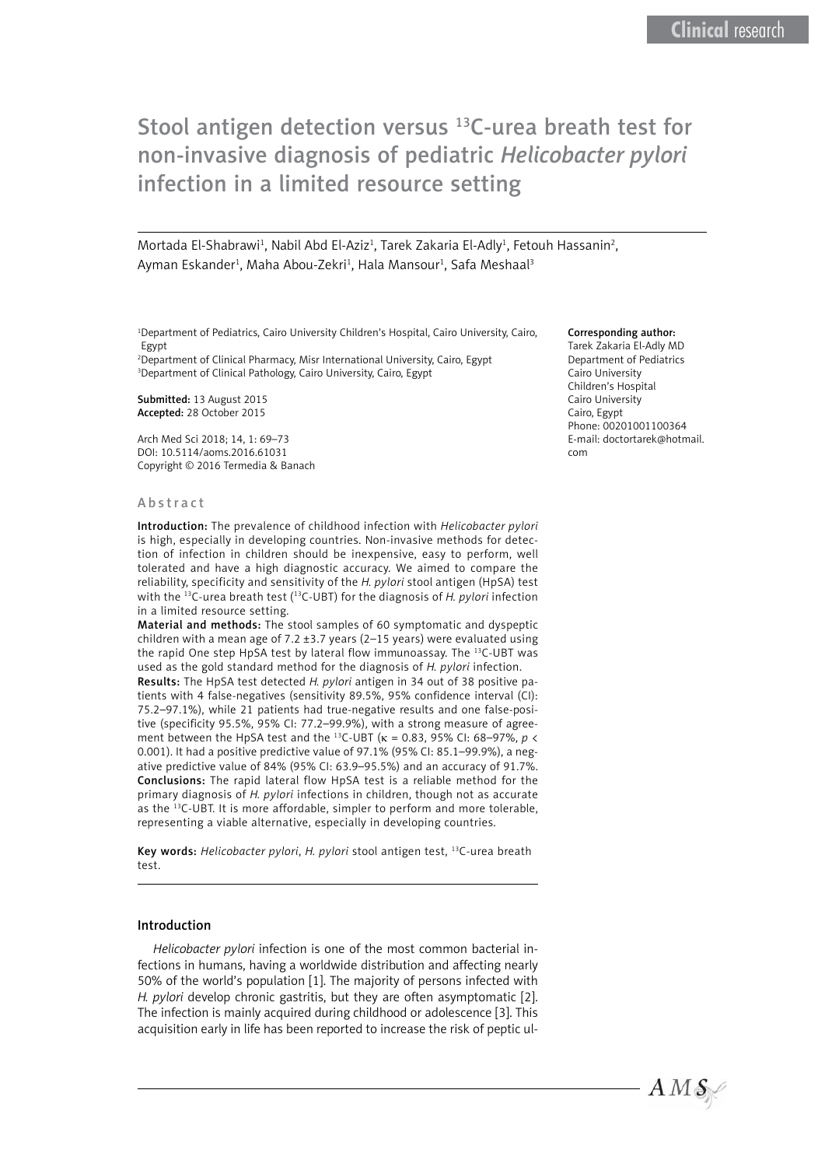# Stool antigen detection versus <sup>13</sup>C-urea breath test for non-invasive diagnosis of pediatric *Helicobacter pylori*  infection in a limited resource setting

Mortada El-Shabrawi<sup>1</sup>, Nabil Abd El-Aziz<sup>1</sup>, Tarek Zakaria El-Adly<sup>1</sup>, Fetouh Hassanin<sup>2</sup>, Ayman Eskander<sup>1</sup>, Maha Abou-Zekri<sup>1</sup>, Hala Mansour<sup>1</sup>, Safa Meshaal<sup>3</sup>

1 Department of Pediatrics, Cairo University Children's Hospital, Cairo University, Cairo, Egypt

2 Department of Clinical Pharmacy, Misr International University, Cairo, Egypt 3 Department of Clinical Pathology, Cairo University, Cairo, Egypt

Submitted: 13 August 2015 Accepted: 28 October 2015

Arch Med Sci 2018; 14, 1: 69–73 DOI: 10.5114/aoms.2016.61031 Copyright © 2016 Termedia & Banach

#### Abstract

Introduction: The prevalence of childhood infection with *Helicobacter pylori* is high, especially in developing countries. Non-invasive methods for detection of infection in children should be inexpensive, easy to perform, well tolerated and have a high diagnostic accuracy. We aimed to compare the reliability, specificity and sensitivity of the *H. pylori* stool antigen (HpSA) test with the 13C-urea breath test (13C-UBT) for the diagnosis of *H. pylori* infection in a limited resource setting.

Material and methods: The stool samples of 60 symptomatic and dyspeptic children with a mean age of 7.2  $\pm$ 3.7 years (2–15 years) were evaluated using the rapid One step HpSA test by lateral flow immunoassay. The <sup>13</sup>C-UBT was used as the gold standard method for the diagnosis of *H. pylori* infection.

Results: The HpSA test detected *H. pylori* antigen in 34 out of 38 positive patients with 4 false-negatives (sensitivity 89.5%, 95% confidence interval (CI): 75.2–97.1%), while 21 patients had true-negative results and one false-positive (specificity 95.5%, 95% CI: 77.2–99.9%), with a strong measure of agreement between the HpSA test and the 13C-UBT (κ = 0.83, 95% CI: 68–97%, *p* < 0.001). It had a positive predictive value of 97.1% (95% CI: 85.1–99.9%), a negative predictive value of 84% (95% CI: 63.9–95.5%) and an accuracy of 91.7%. Conclusions: The rapid lateral flow HpSA test is a reliable method for the primary diagnosis of *H. pylori* infections in children, though not as accurate as the 13C-UBT. It is more affordable, simpler to perform and more tolerable, representing a viable alternative, especially in developing countries.

Key words: *Helicobacter pylori*, *H. pylori* stool antigen test, 13C-urea breath test.

#### Introduction

*Helicobacter pylori* infection is one of the most common bacterial infections in humans, having a worldwide distribution and affecting nearly 50% of the world's population [1]. The majority of persons infected with *H. pylori develop chronic gastritis, but they are often asymptomatic* [2]. The infection is mainly acquired during childhood or adolescence [3]. This acquisition early in life has been reported to increase the risk of peptic ul-

#### Corresponding author:

Tarek Zakaria El-Adly MD Department of Pediatrics Cairo University Children's Hospital Cairo University Cairo, Egypt Phone: 00201001100364 E-mail: doctortarek@hotmail. com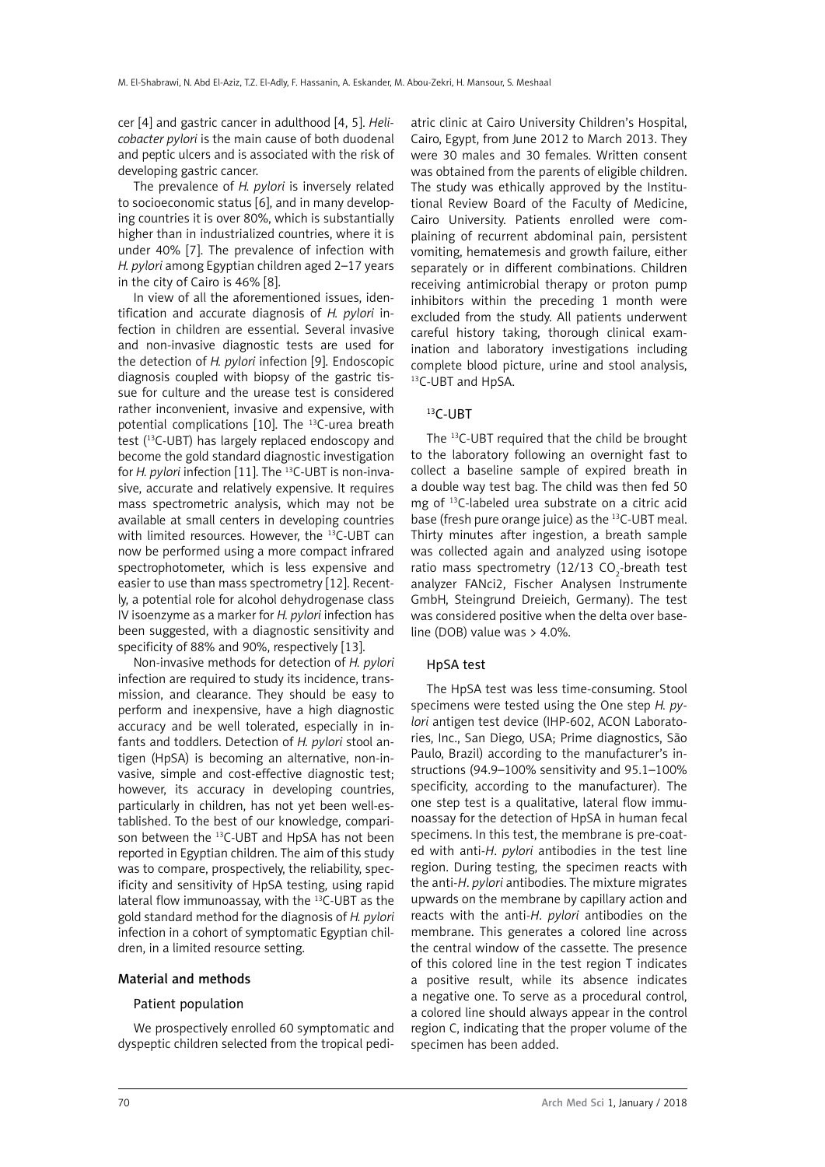cer [4] and gastric cancer in adulthood [4, 5]. *Helicobacter pylori* is the main cause of both duodenal and peptic ulcers and is associated with the risk of developing gastric cancer.

The prevalence of *H. pylori* is inversely related to socioeconomic status [6], and in many developing countries it is over 80%, which is substantially higher than in industrialized countries, where it is under 40% [7]. The prevalence of infection with *H. pylori* among Egyptian children aged 2–17 years in the city of Cairo is 46% [8].

In view of all the aforementioned issues, identification and accurate diagnosis of *H. pylori* infection in children are essential. Several invasive and non-invasive diagnostic tests are used for the detection of *H. pylori* infection [9]. Endoscopic diagnosis coupled with biopsy of the gastric tissue for culture and the urease test is considered rather inconvenient, invasive and expensive, with potential complications [10]. The 13C-urea breath test (13C-UBT) has largely replaced endoscopy and become the gold standard diagnostic investigation for *H. pylori* infection [11]. The <sup>13</sup>C-UBT is non-invasive, accurate and relatively expensive. It requires mass spectrometric analysis, which may not be available at small centers in developing countries with limited resources. However, the <sup>13</sup>C-UBT can now be performed using a more compact infrared spectrophotometer, which is less expensive and easier to use than mass spectrometry [12]. Recently, a potential role for alcohol dehydrogenase class IV isoenzyme as a marker for *H. pylori* infection has been suggested, with a diagnostic sensitivity and specificity of 88% and 90%, respectively [13].

Non-invasive methods for detection of *H. pylori* infection are required to study its incidence, transmission, and clearance. They should be easy to perform and inexpensive, have a high diagnostic accuracy and be well tolerated, especially in infants and toddlers. Detection of *H. pylori* stool antigen (HpSA) is becoming an alternative, non-invasive, simple and cost-effective diagnostic test; however, its accuracy in developing countries, particularly in children, has not yet been well-established. To the best of our knowledge, comparison between the <sup>13</sup>C-UBT and HpSA has not been reported in Egyptian children. The aim of this study was to compare, prospectively, the reliability, specificity and sensitivity of HpSA testing, using rapid lateral flow immunoassay, with the <sup>13</sup>C-UBT as the gold standard method for the diagnosis of *H. pylori* infection in a cohort of symptomatic Egyptian children, in a limited resource setting.

# Material and methods

#### Patient population

We prospectively enrolled 60 symptomatic and dyspeptic children selected from the tropical pedi-

atric clinic at Cairo University Children's Hospital, Cairo, Egypt, from June 2012 to March 2013. They were 30 males and 30 females. Written consent was obtained from the parents of eligible children. The study was ethically approved by the Institutional Review Board of the Faculty of Medicine, Cairo University. Patients enrolled were complaining of recurrent abdominal pain, persistent vomiting, hematemesis and growth failure, either separately or in different combinations. Children receiving antimicrobial therapy or proton pump inhibitors within the preceding 1 month were excluded from the study. All patients underwent careful history taking, thorough clinical examination and laboratory investigations including complete blood picture, urine and stool analysis, 13<sub>C</sub>-UBT and HpSA.

# 13C-UBT

The 13C-UBT required that the child be brought to the laboratory following an overnight fast to collect a baseline sample of expired breath in a double way test bag. The child was then fed 50 mg of 13C-labeled urea substrate on a citric acid base (fresh pure orange juice) as the 13C-UBT meal. Thirty minutes after ingestion, a breath sample was collected again and analyzed using isotope ratio mass spectrometry (12/13 CO<sub>2</sub>-breath test analyzer FANci2, Fischer Analysen Instrumente GmbH, Steingrund Dreieich, Germany). The test was considered positive when the delta over baseline (DOB) value was > 4.0%.

# HpSA test

The HpSA test was less time-consuming. Stool specimens were tested using the One step *H. pylori* antigen test device (IHP-602, ACON Laboratories, Inc., San Diego, USA; Prime diagnostics, São Paulo, Brazil) according to the manufacturer's instructions (94.9–100% sensitivity and 95.1–100% specificity, according to the manufacturer). The one step test is a qualitative, lateral flow immunoassay for the detection of HpSA in human fecal specimens. In this test, the membrane is pre-coated with anti-*H*. *pylori* antibodies in the test line region. During testing, the specimen reacts with the anti-*H*. *pylori* antibodies. The mixture migrates upwards on the membrane by capillary action and reacts with the anti-*H*. *pylori* antibodies on the membrane. This generates a colored line across the central window of the cassette. The presence of this colored line in the test region T indicates a positive result, while its absence indicates a negative one. To serve as a procedural control, a colored line should always appear in the control region C, indicating that the proper volume of the specimen has been added.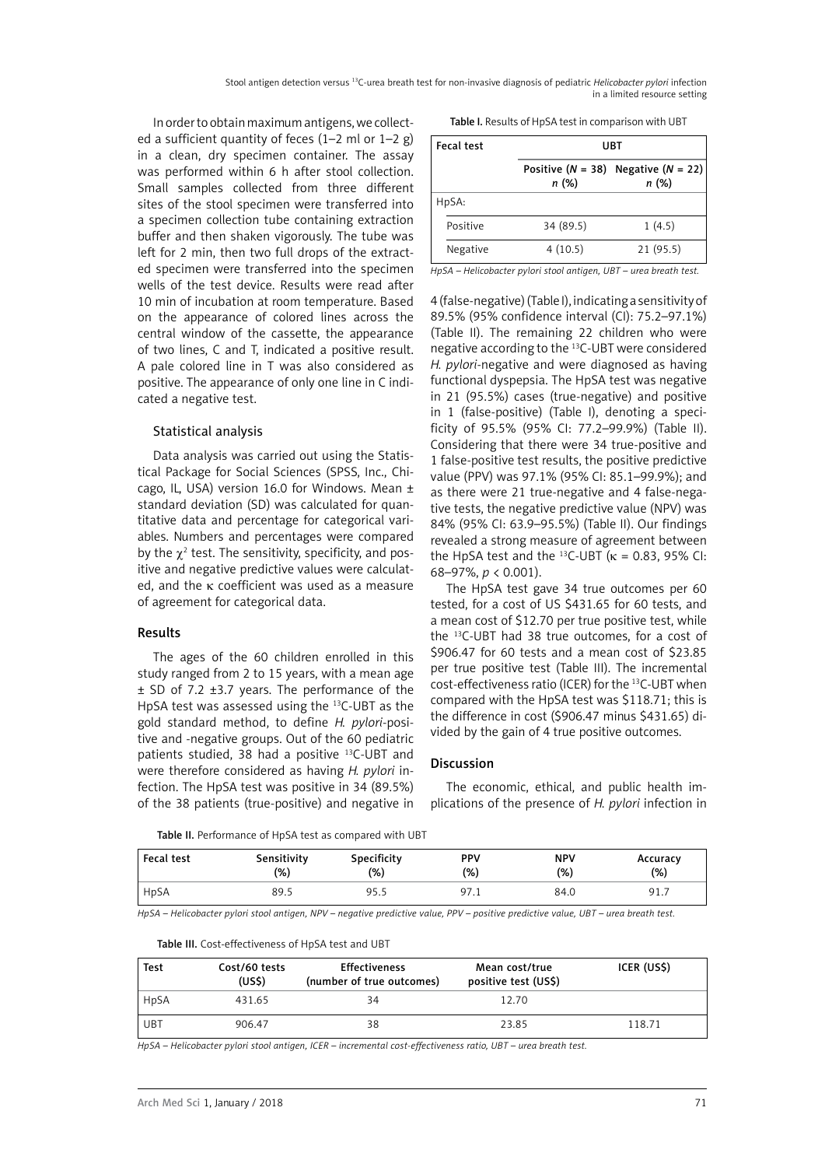Stool antigen detection versus 13C-urea breath test for non-invasive diagnosis of pediatric *Helicobacter pylori* infection in a limited resource setting

In order to obtain maximum antigens, we collected a sufficient quantity of feces  $(1-2 \text{ ml or } 1-2 \text{ g})$ in a clean, dry specimen container. The assay was performed within 6 h after stool collection. Small samples collected from three different sites of the stool specimen were transferred into a specimen collection tube containing extraction buffer and then shaken vigorously. The tube was left for 2 min, then two full drops of the extracted specimen were transferred into the specimen wells of the test device. Results were read after 10 min of incubation at room temperature. Based on the appearance of colored lines across the central window of the cassette, the appearance of two lines, C and T, indicated a positive result. A pale colored line in T was also considered as positive. The appearance of only one line in C indicated a negative test.

### Statistical analysis

Data analysis was carried out using the Statistical Package for Social Sciences (SPSS, Inc., Chicago, IL, USA) version 16.0 for Windows. Mean ± standard deviation (SD) was calculated for quantitative data and percentage for categorical variables. Numbers and percentages were compared by the  $\chi^2$  test. The sensitivity, specificity, and positive and negative predictive values were calculated, and the κ coefficient was used as a measure of agreement for categorical data.

#### Results

The ages of the 60 children enrolled in this study ranged from 2 to 15 years, with a mean age ± SD of 7.2 ±3.7 years. The performance of the HpSA test was assessed using the 13C-UBT as the gold standard method, to define *H. pylori*-positive and -negative groups. Out of the 60 pediatric patients studied, 38 had a positive 13C-UBT and were therefore considered as having *H. pylori* infection. The HpSA test was positive in 34 (89.5%) of the 38 patients (true-positive) and negative in

| Table I. Results of HpSA test in comparison with UBT |  |
|------------------------------------------------------|--|
|                                                      |  |

| Fecal test | UBT       |                                                      |  |
|------------|-----------|------------------------------------------------------|--|
|            | n (%)     | Positive ( $N = 38$ ) Negative ( $N = 22$ )<br>n (%) |  |
| HpSA:      |           |                                                      |  |
| Positive   | 34 (89.5) | 1(4.5)                                               |  |
| Negative   | 4(10.5)   | 21(95.5)                                             |  |

*HpSA – Helicobacter pylori stool antigen, UBT – urea breath test.*

4 (false-negative) (Table I), indicating a sensitivity of 89.5% (95% confidence interval (CI): 75.2–97.1%) (Table II). The remaining 22 children who were negative according to the 13C-UBT were considered *H. pylori*-negative and were diagnosed as having functional dyspepsia. The HpSA test was negative in 21 (95.5%) cases (true-negative) and positive in 1 (false-positive) (Table I), denoting a specificity of 95.5% (95% CI: 77.2–99.9%) (Table II). Considering that there were 34 true-positive and 1 false-positive test results, the positive predictive value (PPV) was 97.1% (95% CI: 85.1–99.9%); and as there were 21 true-negative and 4 false-negative tests, the negative predictive value (NPV) was 84% (95% CI: 63.9–95.5%) (Table II). Our findings revealed a strong measure of agreement between the HpSA test and the <sup>13</sup>C-UBT ( $\kappa$  = 0.83, 95% CI: 68–97%, *p* < 0.001).

The HpSA test gave 34 true outcomes per 60 tested, for a cost of US \$431.65 for 60 tests, and a mean cost of \$12.70 per true positive test, while the 13C-UBT had 38 true outcomes, for a cost of \$906.47 for 60 tests and a mean cost of \$23.85 per true positive test (Table III). The incremental cost-effectiveness ratio (ICER) for the 13C-UBT when compared with the HpSA test was \$118.71; this is the difference in cost (\$906.47 minus \$431.65) divided by the gain of 4 true positive outcomes.

# Discussion

The economic, ethical, and public health implications of the presence of *H. pylori* infection in

Table II. Performance of HpSA test as compared with UBT

| Fecal test | Sensitivity | Specificity | <b>PPV</b> | <b>NPV</b> | Accuracy |
|------------|-------------|-------------|------------|------------|----------|
|            | (%)         | (% )        | (%)        | (%)        | $(\%)$   |
| HpSA       | 89.5        | 95.5        | 97.1       | 84.0       | 91.7     |

*HpSA – Helicobacter pylori stool antigen, NPV – negative predictive value, PPV – positive predictive value, UBT – urea breath test.*

| Table III. Cost-effectiveness of HpSA test and UBT |  |  |  |  |  |
|----------------------------------------------------|--|--|--|--|--|
|----------------------------------------------------|--|--|--|--|--|

| <b>Test</b> | Cost/60 tests<br>(USS) | <b>Effectiveness</b><br>(number of true outcomes) | Mean cost/true<br>positive test (US\$) | ICER (US\$) |
|-------------|------------------------|---------------------------------------------------|----------------------------------------|-------------|
| HpSA        | 431.65                 | 34                                                | 12.70                                  |             |
| UBT         | 906.47                 | 38                                                | 23.85                                  | 118.71      |

*HpSA – Helicobacter pylori stool antigen, ICER – incremental cost-effectiveness ratio, UBT – urea breath test.*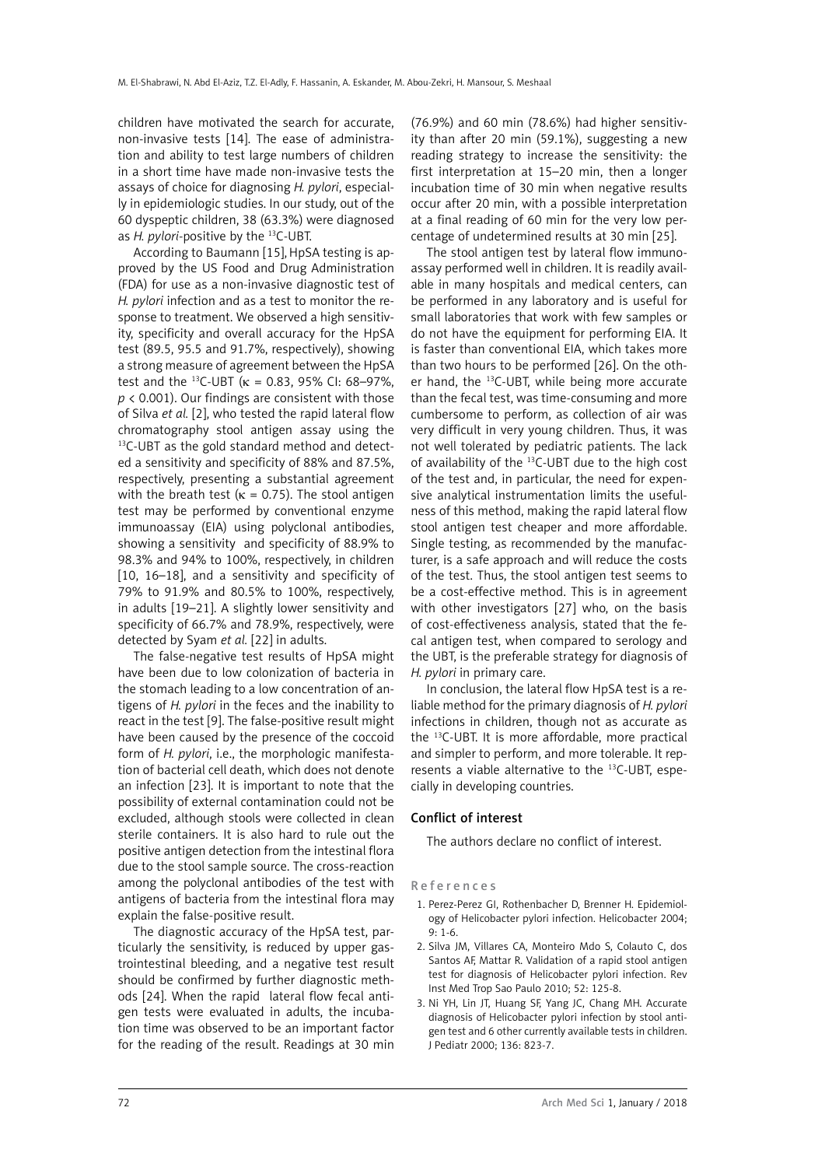children have motivated the search for accurate, non-invasive tests [14]. The ease of administration and ability to test large numbers of children in a short time have made non-invasive tests the assays of choice for diagnosing *H. pylori*, especially in epidemiologic studies. In our study, out of the 60 dyspeptic children, 38 (63.3%) were diagnosed as *H. pylori*-positive by the 13C-UBT.

According to Baumann [15], HpSA testing is approved by the US Food and Drug Administration (FDA) for use as a non-invasive diagnostic test of *H. pylori* infection and as a test to monitor the response to treatment. We observed a high sensitivity, specificity and overall accuracy for the HpSA test (89.5, 95.5 and 91.7%, respectively), showing a strong measure of agreement between the HpSA test and the <sup>13</sup>C-UBT ( $\kappa$  = 0.83, 95% CI: 68-97%, *p* < 0.001). Our findings are consistent with those of Silva *et al.* [2], who tested the rapid lateral flow chromatography stool antigen assay using the <sup>13</sup>C-UBT as the gold standard method and detected a sensitivity and specificity of 88% and 87.5%, respectively, presenting a substantial agreement with the breath test ( $\kappa$  = 0.75). The stool antigen test may be performed by conventional enzyme immunoassay (EIA) using polyclonal antibodies, showing a sensitivity and specificity of 88.9% to 98.3% and 94% to 100%, respectively, in children [10, 16–18], and a sensitivity and specificity of 79% to 91.9% and 80.5% to 100%, respectively, in adults [19–21]. A slightly lower sensitivity and specificity of 66.7% and 78.9%, respectively, were detected by Syam *et al.* [22] in adults.

The false-negative test results of HpSA might have been due to low colonization of bacteria in the stomach leading to a low concentration of antigens of *H. pylori* in the feces and the inability to react in the test [9]. The false-positive result might have been caused by the presence of the coccoid form of *H. pylori*, i.e., the morphologic manifestation of bacterial cell death, which does not denote an infection [23]. It is important to note that the possibility of external contamination could not be excluded, although stools were collected in clean sterile containers. It is also hard to rule out the positive antigen detection from the intestinal flora due to the stool sample source. The cross-reaction among the polyclonal antibodies of the test with antigens of bacteria from the intestinal flora may explain the false-positive result.

The diagnostic accuracy of the HpSA test, particularly the sensitivity, is reduced by upper gastrointestinal bleeding, and a negative test result should be confirmed by further diagnostic methods [24]. When the rapid lateral flow fecal antigen tests were evaluated in adults, the incubation time was observed to be an important factor for the reading of the result. Readings at 30 min

(76.9%) and 60 min (78.6%) had higher sensitivity than after 20 min (59.1%), suggesting a new reading strategy to increase the sensitivity: the first interpretation at 15–20 min, then a longer incubation time of 30 min when negative results occur after 20 min, with a possible interpretation at a final reading of 60 min for the very low percentage of undetermined results at 30 min [25].

The stool antigen test by lateral flow immunoassay performed well in children. It is readily available in many hospitals and medical centers, can be performed in any laboratory and is useful for small laboratories that work with few samples or do not have the equipment for performing EIA. It is faster than conventional EIA, which takes more than two hours to be performed [26]. On the other hand, the 13C-UBT, while being more accurate than the fecal test, was time-consuming and more cumbersome to perform, as collection of air was very difficult in very young children. Thus, it was not well tolerated by pediatric patients. The lack of availability of the 13C-UBT due to the high cost of the test and, in particular, the need for expensive analytical instrumentation limits the usefulness of this method, making the rapid lateral flow stool antigen test cheaper and more affordable. Single testing, as recommended by the manufacturer, is a safe approach and will reduce the costs of the test. Thus, the stool antigen test seems to be a cost-effective method. This is in agreement with other investigators [27] who, on the basis of cost-effectiveness analysis, stated that the fecal antigen test, when compared to serology and the UBT, is the preferable strategy for diagnosis of *H. pylori* in primary care.

In conclusion, the lateral flow HpSA test is a reliable method for the primary diagnosis of *H. pylori* infections in children, though not as accurate as the 13C-UBT. It is more affordable, more practical and simpler to perform, and more tolerable. It represents a viable alternative to the 13C-UBT, especially in developing countries.

# Conflict of interest

The authors declare no conflict of interest.

#### References

- 1. Perez-Perez GI, Rothenbacher D, Brenner H. Epidemiology of Helicobacter pylori infection. Helicobacter 2004; 9: 1-6.
- 2. Silva JM, Villares CA, Monteiro Mdo S, Colauto C, dos Santos AF, Mattar R. Validation of a rapid stool antigen test for diagnosis of Helicobacter pylori infection. Rev Inst Med Trop Sao Paulo 2010; 52: 125-8.
- 3. Ni YH, Lin JT, Huang SF, Yang JC, Chang MH. Accurate diagnosis of Helicobacter pylori infection by stool antigen test and 6 other currently available tests in children. J Pediatr 2000; 136: 823-7.